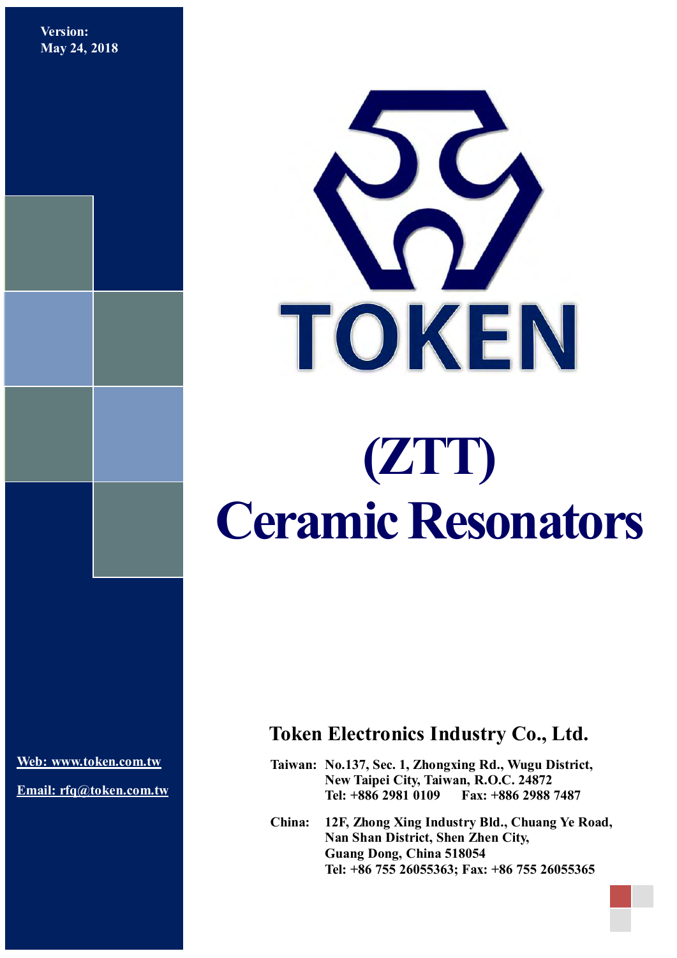**Version: May 24, 2018**



# **(ZTT) Ceramic Resonators**

**[Web: www.token.com.tw](http://www.token.com.tw/)**

**Email: rfq@token.com.tw**

## **Token Electronics Industry Co., Ltd.**

**Taiwan: No.137, Sec. 1, Zhongxing Rd., Wugu District, New Taipei City, Taiwan, R.O.C. 24872 Tel: +886 2981 0109 Fax: +886 2988 7487**

**China: 12F, Zhong Xing Industry Bld., Chuang Ye Road, Nan Shan District, Shen Zhen City, Guang Dong, China 518054 Tel: +86 755 26055363; Fax: +86 755 26055365**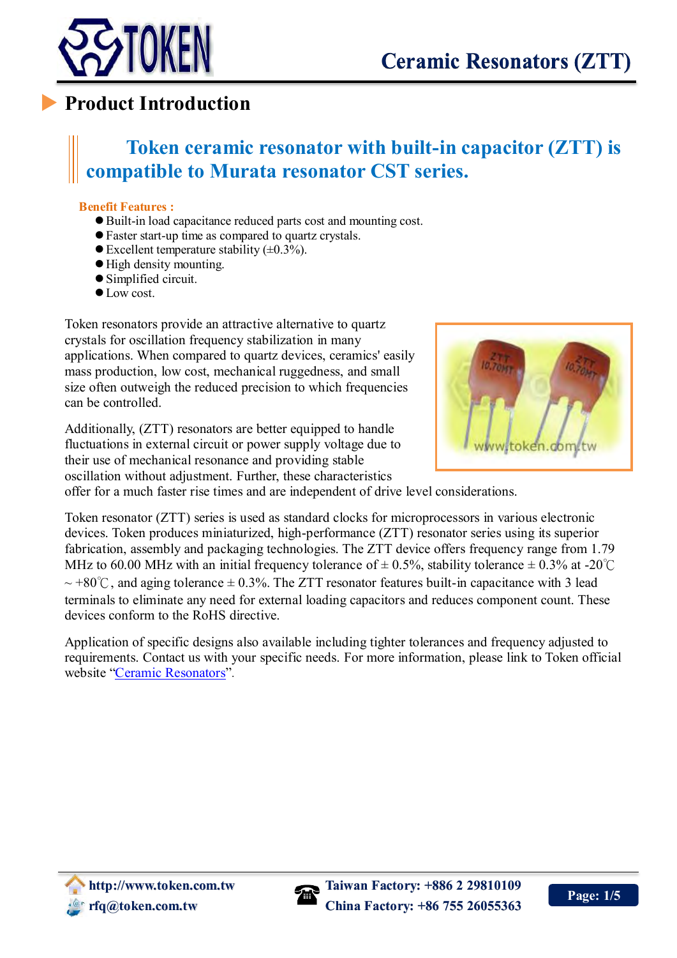

## **Product Introduction**

# **Token ceramic resonator with built-in capacitor (ZTT) is compatible to Murata resonator CST series.**

#### **Benefit Features :**

- Built-in load capacitance reduced parts cost and mounting cost.
- Faster start-up time as compared to quartz crystals.
- $\bullet$  Excellent temperature stability ( $\pm 0.3\%$ ).
- High density mounting.
- Simplified circuit.
- $\bullet$  Low cost.

Token resonators provide an attractive alternative to quartz crystals for oscillation frequency stabilization in many applications. When compared to quartz devices, ceramics' easily mass production, low cost, mechanical ruggedness, and small size often outweigh the reduced precision to which frequencies can be controlled.

Additionally, (ZTT) resonators are better equipped to handle fluctuations in external circuit or power supply voltage due to their use of mechanical resonance and providing stable oscillation without adjustment. Further, these characteristics



offer for a much faster rise times and are independent of drive level considerations.

Token resonator (ZTT) series is used as standard clocks for microprocessors in various electronic devices. Token produces miniaturized, high-performance (ZTT) resonator series using its superior fabrication, assembly and packaging technologies. The ZTT device offers frequency range from 1.79 MHz to 60.00 MHz with an initial frequency tolerance of  $\pm$  0.5%, stability tolerance  $\pm$  0.3% at -20°C  $\sim$  +80°C, and aging tolerance  $\pm$  0.3%. The ZTT resonator features built-in capacitance with 3 lead terminals to eliminate any need for external loading capacitors and reduces component count. These devices conform to the RoHS directive.

Application of specific designs also available including tighter tolerances and frequency adjusted to requirements. Contact us with your specific needs. For more information, please link to Token official website ["Ceramic Resonators"](http://www.token.com.tw/resonator/index.html).

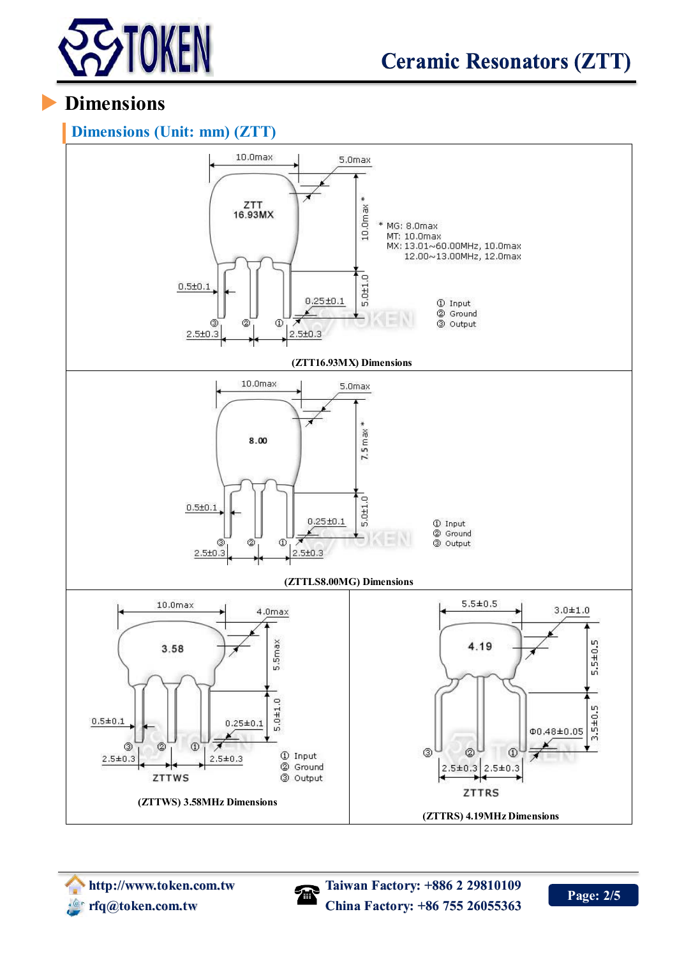

# **Dimensions**

## **Dimensions (Unit: mm) (ZTT)**



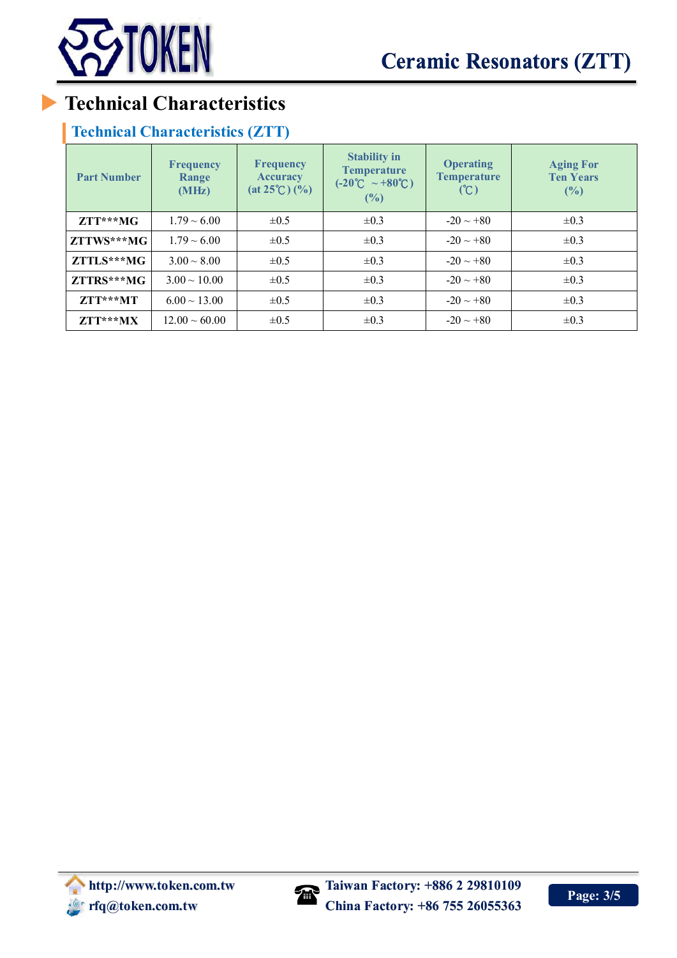

# **Technical Characteristics**

## **Technical Characteristics (ZTT)**

| <b>Part Number</b> | <b>Frequency</b><br>Range<br>(MHz) | <b>Frequency</b><br><b>Accuracy</b><br>$(at 25^{\circ}C)(\%)$ | <b>Stability in</b><br><b>Temperature</b><br>$(-20^{\circ}\text{C} \sim +80^{\circ}\text{C})$<br>(%) | <b>Operating</b><br><b>Temperature</b><br>(C) | <b>Aging For</b><br><b>Ten Years</b><br>(%) |
|--------------------|------------------------------------|---------------------------------------------------------------|------------------------------------------------------------------------------------------------------|-----------------------------------------------|---------------------------------------------|
| $ZTT***MG$         | $1.79 \sim 6.00$                   | $\pm 0.5$                                                     | $\pm 0.3$                                                                                            | $-20 \sim +80$                                | $\pm 0.3$                                   |
| ZTTWS***MG         | $1.79 \sim 6.00$                   | $\pm 0.5$                                                     | $\pm 0.3$                                                                                            | $-20 \sim +80$                                | $\pm 0.3$                                   |
| ZTTLS***MG         | $3.00 \sim 8.00$                   | $\pm 0.5$                                                     | $\pm 0.3$                                                                                            | $-20 \sim +80$                                | $\pm 0.3$                                   |
| ZTTRS***MG         | $3.00 \sim 10.00$                  | $\pm 0.5$                                                     | $\pm 0.3$                                                                                            | $-20 \sim +80$                                | $\pm 0.3$                                   |
| $ZTT***MT$         | $6.00 \sim 13.00$                  | $\pm 0.5$                                                     | $\pm 0.3$                                                                                            | $-20 \sim +80$                                | $\pm 0.3$                                   |
| $ZTT***MX$         | $12.00 \sim 60.00$                 | $\pm 0.5$                                                     | $\pm 0.3$                                                                                            | $-20 \sim +80$                                | $\pm 0.3$                                   |

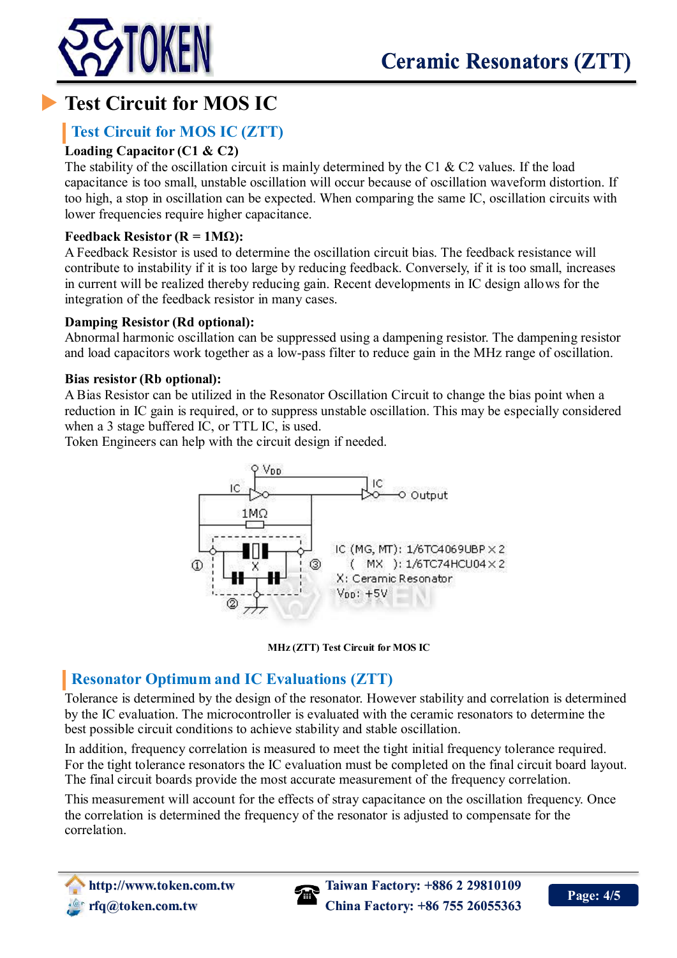

# **Test Circuit for MOS IC**

## **Test Circuit for MOS IC (ZTT)**

#### **Loading Capacitor (C1 & C2)**

The stability of the oscillation circuit is mainly determined by the C1  $\&$  C2 values. If the load capacitance is too small, unstable oscillation will occur because of oscillation waveform distortion. If too high, a stop in oscillation can be expected. When comparing the same IC, oscillation circuits with lower frequencies require higher capacitance.

#### **Feedback Resistor (R = 1MΩ):**

A Feedback Resistor is used to determine the oscillation circuit bias. The feedback resistance will contribute to instability if it is too large by reducing feedback. Conversely, if it is too small, increases in current will be realized thereby reducing gain. Recent developments in IC design allows for the integration of the feedback resistor in many cases.

#### **Damping Resistor (Rd optional):**

Abnormal harmonic oscillation can be suppressed using a dampening resistor. The dampening resistor and load capacitors work together as a low-pass filter to reduce gain in the MHz range of oscillation.

#### **Bias resistor (Rb optional):**

A Bias Resistor can be utilized in the Resonator Oscillation Circuit to change the bias point when a reduction in IC gain is required, or to suppress unstable oscillation. This may be especially considered when a 3 stage buffered IC, or TTL IC, is used.

Token Engineers can help with the circuit design if needed.



**MHz (ZTT) Test Circuit for MOS IC**

## **Resonator Optimum and IC Evaluations (ZTT)**

Tolerance is determined by the design of the resonator. However stability and correlation is determined by the IC evaluation. The microcontroller is evaluated with the ceramic resonators to determine the best possible circuit conditions to achieve stability and stable oscillation.

In addition, frequency correlation is measured to meet the tight initial frequency tolerance required. For the tight tolerance resonators the IC evaluation must be completed on the final circuit board layout. The final circuit boards provide the most accurate measurement of the frequency correlation.

This measurement will account for the effects of stray capacitance on the oscillation frequency. Once the correlation is determined the frequency of the resonator is adjusted to compensate for the correlation.